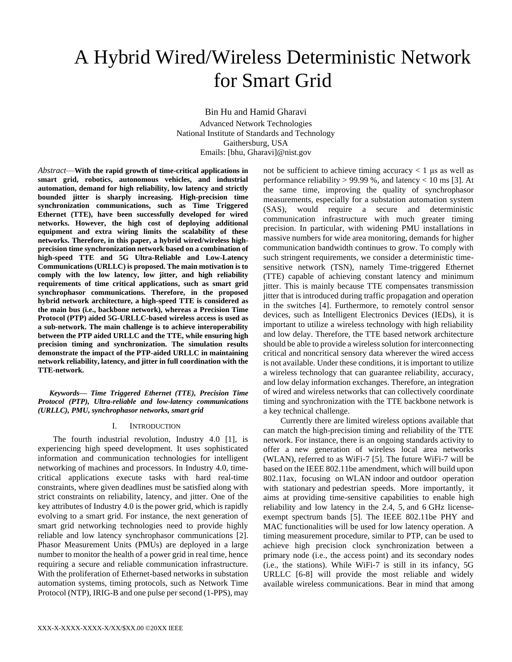# A Hybrid Wired/Wireless Deterministic Network for Smart Grid

Bin Hu and Hamid Gharavi

Advanced Network Technologies National Institute of Standards and Technology Gaithersburg, USA Emails: [bhu, Gharavi]@nist.gov

*Abstract*—**With the rapid growth of time-critical applications in smart grid, robotics, autonomous vehicles, and industrial automation, demand for high reliability, low latency and strictly bounded jitter is sharply increasing. High-precision time synchronization communications, such as Time Triggered Ethernet (TTE), have been successfully developed for wired networks. However, the high cost of deploying additional equipment and extra wiring limits the scalability of these networks. Therefore, in this paper, a hybrid wired/wireless highprecision time synchronization network based on a combination of high-speed TTE and 5G Ultra-Reliable and Low-Latency Communications (URLLC) is proposed. The main motivation is to comply with the low latency, low jitter, and high reliability requirements of time critical applications, such as smart grid synchrophasor communications. Therefore, in the proposed hybrid network architecture, a high-speed TTE is considered as the main bus (i.e., backbone network), whereas a Precision Time Protocol (PTP) aided 5G-URLLC-based wireless access is used as a sub-network. The main challenge is to achieve interoperability between the PTP aided URLLC and the TTE, while ensuring high precision timing and synchronization. The simulation results demonstrate the impact of the PTP-aided URLLC in maintaining network reliability, latency, and jitter in full coordination with the TTE-network.**

*Keywords— Time Triggered Ethernet (TTE), Precision Time Protocol (PTP), Ultra-reliable and low-latency communications (URLLC), PMU, synchrophasor networks, smart grid*

## I. INTRODUCTION

The fourth industrial revolution, Industry 4.0 [1], is experiencing high speed development. It uses sophisticated information and communication technologies for intelligent networking of machines and processors. In Industry 4.0, timecritical applications execute tasks with hard real-time constraints, where given deadlines must be satisfied along with strict constraints on reliability, latency, and jitter. One of the key attributes of Industry 4.0 is the power grid, which is rapidly evolving to a smart grid. For instance, the next generation of smart grid networking technologies need to provide highly reliable and low latency synchrophasor communications [2]. Phasor Measurement Units (PMUs) are deployed in a large number to monitor the health of a power grid in real time, hence requiring a secure and reliable communication infrastructure. With the proliferation of Ethernet-based networks in substation automation systems, timing protocols, such as Network Time Protocol (NTP), IRIG-B and one pulse per second (1-PPS), may not be sufficient to achieve timing accuracy  $< 1$  µs as well as performance reliability  $> 99.99$  %, and latency  $< 10$  ms [3]. At the same time, improving the quality of synchrophasor measurements, especially for a substation automation system (SAS), would require a secure and deterministic communication infrastructure with much greater timing precision. In particular, with widening PMU installations in massive numbers for wide area monitoring, demands for higher communication bandwidth continues to grow. To comply with such stringent requirements, we consider a deterministic timesensitive network (TSN), namely Time-triggered Ethernet (TTE) capable of achieving constant latency and minimum jitter. This is mainly because TTE compensates transmission jitter that is introduced during traffic propagation and operation in the switches [4]. Furthermore, to remotely control sensor devices, such as Intelligent Electronics Devices (IEDs), it is important to utilize a wireless technology with high reliability and low delay. Therefore, the TTE based network architecture should be able to provide a wireless solution for interconnecting critical and noncritical sensory data wherever the wired access is not available. Under these conditions, it is important to utilize a wireless technology that can guarantee reliability, accuracy, and low delay information exchanges. Therefore, an integration of wired and wireless networks that can collectively coordinate timing and synchronization with the TTE backbone network is a key technical challenge.

Currently there are limited wireless options available that can match the high-precision timing and reliability of the TTE network. For instance, there is an ongoing standards activity to offer a new generation of wireless local area networks (WLAN), referred to as WiFi-7 [5]. The future WiFi-7 will be based on the IEEE 802.11be amendment, which will build upon 802.11ax, focusing on WLAN indoor and outdoor operation with stationary and pedestrian speeds. More importantly, it aims at providing time-sensitive capabilities to enable high reliability and low latency in the 2.4, 5, and 6 GHz licenseexempt spectrum bands [5]. The IEEE 802.11be PHY and MAC functionalities will be used for low latency operation. A timing measurement procedure, similar to PTP, can be used to achieve high precision clock synchronization between a primary node (i.e., the access point) and its secondary nodes (i.e., the stations). While WiFi-7 is still in its infancy, 5G URLLC [6-8] will provide the most reliable and widely available wireless communications. Bear in mind that among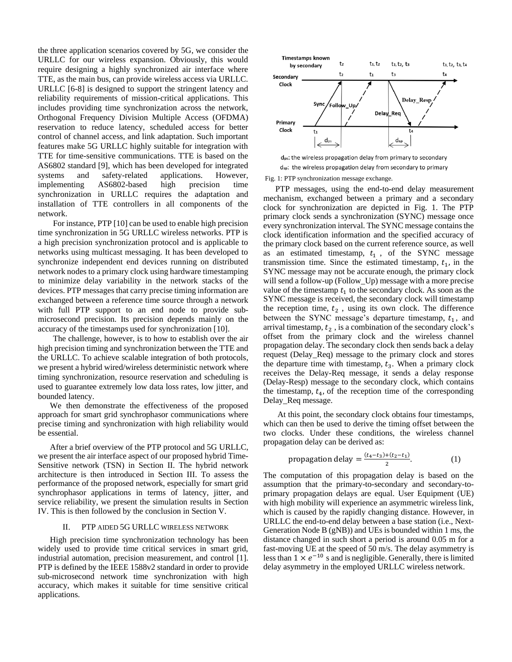the three application scenarios covered by 5G, we consider the URLLC for our wireless expansion. Obviously, this would require designing a highly synchronized air interface where TTE, as the main bus, can provide wireless access via URLLC. URLLC [6-8] is designed to support the stringent latency and reliability requirements of mission-critical applications. This includes providing time synchronization across the network, Orthogonal Frequency Division Multiple Access (OFDMA) reservation to reduce latency, scheduled access for better control of channel access, and link adaptation. Such important features make 5G URLLC highly suitable for integration with TTE for time-sensitive communications. TTE is based on the AS6802 standard [9], which has been developed for integrated systems and safety-related applications. However, implementing AS6802-based high precision time synchronization in URLLC requires the adaptation and installation of TTE controllers in all components of the network.

For instance, PTP [10] can be used to enable high precision time synchronization in 5G URLLC wireless networks. PTP is a high precision synchronization protocol and is applicable to networks using multicast messaging. It has been developed to synchronize independent end devices running on distributed network nodes to a primary clock using hardware timestamping to minimize delay variability in the network stacks of the devices. PTP messages that carry precise timing information are exchanged between a reference time source through a network with full PTP support to an end node to provide submicrosecond precision. Its precision depends mainly on the accuracy of the timestamps used for synchronization [10].

The challenge, however, is to how to establish over the air high precision timing and synchronization between the TTE and the URLLC. To achieve scalable integration of both protocols, we present a hybrid wired/wireless deterministic network where timing synchronization, resource reservation and scheduling is used to guarantee extremely low data loss rates, low jitter, and bounded latency.

We then demonstrate the effectiveness of the proposed approach for smart grid synchrophasor communications where precise timing and synchronization with high reliability would be essential.

After a brief overview of the PTP protocol and 5G URLLC, we present the air interface aspect of our proposed hybrid Time-Sensitive network (TSN) in Section II. The hybrid network architecture is then introduced in Section III. To assess the performance of the proposed network, especially for smart grid synchrophasor applications in terms of latency, jitter, and service reliability, we present the simulation results in Section IV. This is then followed by the conclusion in Section V.

#### II. PTP AIDED 5G URLLC WIRELESS NETWORK

High precision time synchronization technology has been widely used to provide time critical services in smart grid, industrial automation, precision measurement, and control [1]. PTP is defined by the IEEE 1588v2 standard in order to provide sub-microsecond network time synchronization with high accuracy, which makes it suitable for time sensitive critical applications.



dps: the wireless propagation delay from primary to secondary d<sub>sp</sub>: the wireless propagation delay from secondary to primary

Fig. 1: PTP synchronization message exchange.

PTP messages, using the end-to-end delay measurement mechanism, exchanged between a primary and a secondary clock for synchronization are depicted in Fig. 1. The PTP primary clock sends a synchronization (SYNC) message once every synchronization interval. The SYNC message contains the clock identification information and the specified accuracy of the primary clock based on the current reference source, as well as an estimated timestamp,  $t_1$ , of the SYNC message transmission time. Since the estimated timestamp,  $t_1$ , in the SYNC message may not be accurate enough, the primary clock will send a follow-up (Follow\_Up) message with a more precise value of the timestamp  $t_1$  to the secondary clock. As soon as the SYNC message is received, the secondary clock will timestamp the reception time,  $t_2$ , using its own clock. The difference between the SYNC message's departure timestamp,  $t_1$ , and arrival timestamp,  $t_2$ , is a combination of the secondary clock's offset from the primary clock and the wireless channel propagation delay. The secondary clock then sends back a delay request (Delay\_Req) message to the primary clock and stores the departure time with timestamp,  $t_3$ . When a primary clock receives the Delay-Req message, it sends a delay response (Delay-Resp) message to the secondary clock, which contains the timestamp,  $t_4$ , of the reception time of the corresponding Delay\_Req message.

At this point, the secondary clock obtains four timestamps, which can then be used to derive the timing offset between the two clocks. Under these conditions, the wireless channel propagation delay can be derived as:

$$
propagation delay = \frac{(t_4 - t_3) + (t_2 - t_1)}{2}.\tag{1}
$$

The computation of this propagation delay is based on the assumption that the primary-to-secondary and secondary-toprimary propagation delays are equal. User Equipment (UE) with high mobility will experience an asymmetric wireless link, which is caused by the rapidly changing distance. However, in URLLC the end-to-end delay between a base station (i.e., Next-Generation Node B (gNB)) and UEs is bounded within 1 ms, the distance changed in such short a period is around 0.05 m for a fast-moving UE at the speed of  $50 \text{ m/s}$ . The delay asymmetry is less than  $1 \times e^{-10}$  s and is negligible. Generally, there is limited delay asymmetry in the employed URLLC wireless network.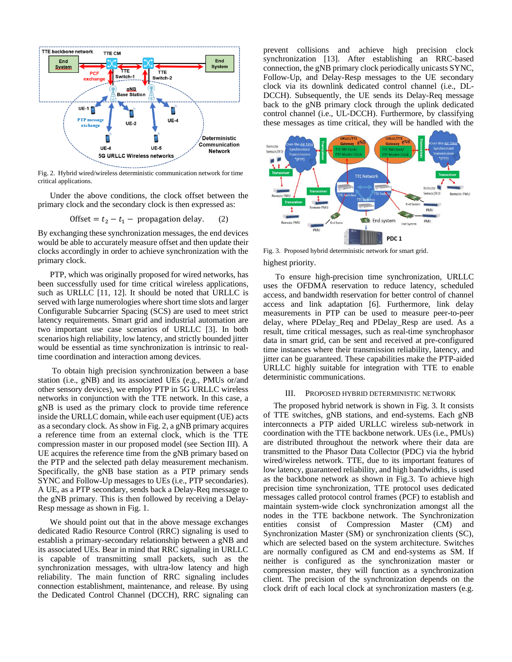

Fig. 2. Hybrid wired/wireless deterministic communication network for time critical applications.

Under the above conditions, the clock offset between the primary clock and the secondary clock is then expressed as:

$$
offset = t_2 - t_1 - propagation delay. \t(2)
$$

By exchanging these synchronization messages, the end devices would be able to accurately measure offset and then update their clocks accordingly in order to achieve synchronization with the primary clock.

PTP, which was originally proposed for wired networks, has been successfully used for time critical wireless applications, such as URLLC [11, 12]. It should be noted that URLLC is served with large numerologies where short time slots and larger Configurable Subcarrier Spacing (SCS) are used to meet strict latency requirements. Smart grid and industrial automation are two important use case scenarios of URLLC [3]. In both scenarios high reliability, low latency, and strictly bounded jitter would be essential as time synchronization is intrinsic to realtime coordination and interaction among devices.

To obtain high precision synchronization between a base station (i.e., gNB) and its associated UEs (e.g., PMUs or/and other sensory devices), we employ PTP in 5G URLLC wireless networks in conjunction with the TTE network. In this case, a gNB is used as the primary clock to provide time reference inside the URLLC domain, while each user equipment (UE) acts as a secondary clock. As show in Fig. 2, a gNB primary acquires a reference time from an external clock, which is the TTE compression master in our proposed model (see Section III). A UE acquires the reference time from the gNB primary based on the PTP and the selected path delay measurement mechanism. Specifically, the gNB base station as a PTP primary sends SYNC and Follow-Up messages to UEs (i.e., PTP secondaries). A UE, as a PTP secondary, sends back a Delay-Req message to the gNB primary. This is then followed by receiving a Delay-Resp message as shown in Fig. 1.

We should point out that in the above message exchanges dedicated Radio Resource Control (RRC) signaling is used to establish a primary-secondary relationship between a gNB and its associated UEs. Bear in mind that RRC signaling in URLLC is capable of transmitting small packets, such as the synchronization messages, with ultra-low latency and high reliability. The main function of RRC signaling includes connection establishment, maintenance, and release. By using the Dedicated Control Channel (DCCH), RRC signaling can prevent collisions and achieve high precision clock synchronization [13]. After establishing an RRC-based connection, the gNB primary clock periodically unicasts SYNC, Follow-Up, and Delay-Resp messages to the UE secondary clock via its downlink dedicated control channel (i.e., DL-DCCH). Subsequently, the UE sends its Delay-Req message back to the gNB primary clock through the uplink dedicated control channel (i.e., UL-DCCH). Furthermore, by classifying these messages as time critical, they will be handled with the



highest priority. Fig. 3. Proposed hybrid deterministic network for smart grid.

To ensure high-precision time synchronization, URLLC uses the OFDMA reservation to reduce latency, scheduled access, and bandwidth reservation for better control of channel access and link adaptation [6]. Furthermore, link delay measurements in PTP can be used to measure peer-to-peer delay, where PDelay\_Req and PDelay\_Resp are used. As a result, time critical messages, such as real-time synchrophasor data in smart grid, can be sent and received at pre-configured time instances where their transmission reliability, latency, and jitter can be guaranteed. These capabilities make the PTP-aided URLLC highly suitable for integration with TTE to enable deterministic communications.

### III. PROPOSED HYBRID DETERMINISTIC NETWORK

 The proposed hybrid network is shown in Fig. 3. It consists of TTE switches, gNB stations, and end-systems. Each gNB interconnects a PTP aided URLLC wireless sub-network in coordination with the TTE backbone network. UEs (i.e., PMUs) are distributed throughout the network where their data are transmitted to the Phasor Data Collector (PDC) via the hybrid wired/wireless network. TTE, due to its important features of low latency, guaranteed reliability, and high bandwidths, is used as the backbone network as shown in Fig.3. To achieve high precision time synchronization, TTE protocol uses dedicated messages called protocol control frames (PCF) to establish and maintain system-wide clock synchronization amongst all the nodes in the TTE backbone network. The Synchronization entities consist of Compression Master (CM) and Synchronization Master (SM) or synchronization clients (SC), which are selected based on the system architecture. Switches are normally configured as CM and end-systems as SM. If neither is configured as the synchronization master or compression master, they will function as a synchronization client. The precision of the synchronization depends on the clock drift of each local clock at synchronization masters (e.g.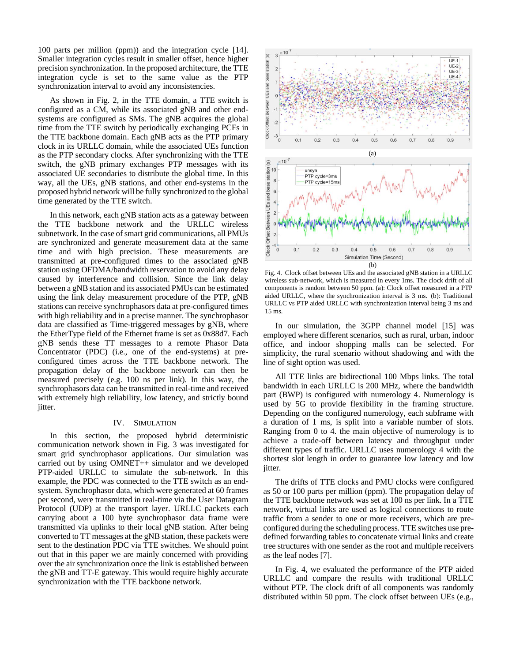100 parts per million (ppm)) and the integration cycle [14]. Smaller integration cycles result in smaller offset, hence higher precision synchronization. In the proposed architecture, the TTE integration cycle is set to the same value as the PTP synchronization interval to avoid any inconsistencies.

As shown in Fig. 2, in the TTE domain, a TTE switch is configured as a CM, while its associated gNB and other endsystems are configured as SMs. The gNB acquires the global time from the TTE switch by periodically exchanging PCFs in the TTE backbone domain. Each gNB acts as the PTP primary clock in its URLLC domain, while the associated UEs function as the PTP secondary clocks. After synchronizing with the TTE switch, the gNB primary exchanges PTP messages with its associated UE secondaries to distribute the global time. In this way, all the UEs, gNB stations, and other end-systems in the proposed hybrid network will be fully synchronized to the global time generated by the TTE switch.

In this network, each gNB station acts as a gateway between the TTE backbone network and the URLLC wireless subnetwork. In the case of smart grid communications, all PMUs are synchronized and generate measurement data at the same time and with high precision. These measurements are transmitted at pre-configured times to the associated gNB station using OFDMA/bandwidth reservation to avoid any delay caused by interference and collision. Since the link delay between a gNB station and its associated PMUs can be estimated using the link delay measurement procedure of the PTP, gNB stations can receive synchrophasors data at pre-configured times with high reliability and in a precise manner. The synchrophasor data are classified as Time-triggered messages by gNB, where the EtherType field of the Ethernet frame is set as 0x88d7. Each gNB sends these TT messages to a remote Phasor Data Concentrator (PDC) (i.e., one of the end-systems) at preconfigured times across the TTE backbone network. The propagation delay of the backbone network can then be measured precisely (e.g. 100 ns per link). In this way, the synchrophasors data can be transmitted in real-time and received with extremely high reliability, low latency, and strictly bound jitter.

#### IV. SIMULATION

In this section, the proposed hybrid deterministic communication network shown in Fig. 3 was investigated for smart grid synchrophasor applications. Our simulation was carried out by using OMNET++ simulator and we developed PTP-aided URLLC to simulate the sub-network. In this example, the PDC was connected to the TTE switch as an endsystem. Synchrophasor data, which were generated at 60 frames per second, were transmitted in real-time via the User Datagram Protocol (UDP) at the transport layer. URLLC packets each carrying about a 100 byte synchrophasor data frame were transmitted via uplinks to their local gNB station. After being converted to TT messages at the gNB station, these packets were sent to the destination PDC via TTE switches. We should point out that in this paper we are mainly concerned with providing over the air synchronization once the link is established between the gNB and TT-E gateway. This would require highly accurate synchronization with the TTE backbone network.



Fig. 4. Clock offset between UEs and the associated gNB station in a URLLC wireless sub-network, which is measured in every 1ms. The clock drift of all components is random between 50 ppm. (a): Clock offset measured in a PTP aided URLLC, where the synchronization interval is 3 ms. (b): Traditional URLLC vs PTP aided URLLC with synchronization interval being 3 ms and 15 ms.

In our simulation, the 3GPP channel model [15] was employed where different scenarios, such as rural, urban, indoor office, and indoor shopping malls can be selected. For simplicity, the rural scenario without shadowing and with the line of sight option was used.

All TTE links are bidirectional 100 Mbps links. The total bandwidth in each URLLC is 200 MHz, where the bandwidth part (BWP) is configured with numerology 4. Numerology is used by 5G to provide flexibility in the framing structure. Depending on the configured numerology, each subframe with a duration of 1 ms, is split into a variable number of slots. Ranging from 0 to 4. the main objective of numerology is to achieve a trade-off between latency and throughput under different types of traffic. URLLC uses numerology 4 with the shortest slot length in order to guarantee low latency and low jitter.

The drifts of TTE clocks and PMU clocks were configured as 50 or 100 parts per million (ppm). The propagation delay of the TTE backbone network was set at 100 ns per link. In a TTE network, virtual links are used as logical connections to route traffic from a sender to one or more receivers, which are preconfigured during the scheduling process. TTE switches use predefined forwarding tables to concatenate virtual links and create tree structures with one sender as the root and multiple receivers as the leaf nodes [7].

In Fig. 4, we evaluated the performance of the PTP aided URLLC and compare the results with traditional URLLC without PTP. The clock drift of all components was randomly distributed within 50 ppm. The clock offset between UEs (e.g.,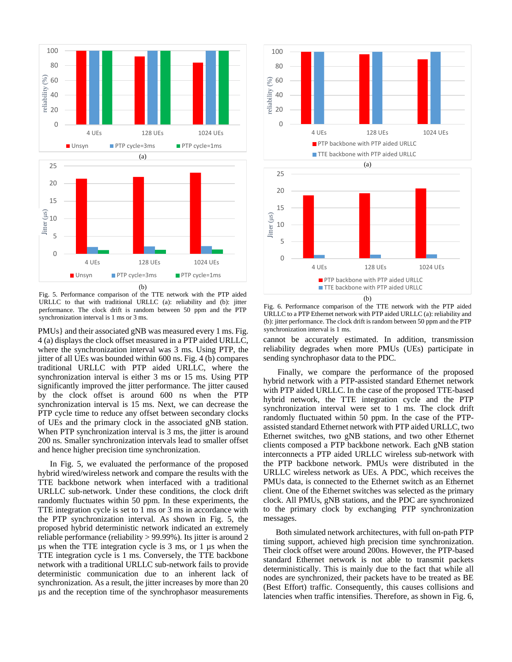

Fig. 5. Performance comparison of the TTE network with the PTP aided URLLC to that with traditional URLLC (a): reliability and (b): jitter performance. The clock drift is random between 50 ppm and the PTP synchronization interval is 1 ms or 3 ms.

PMUs} and their associated gNB was measured every 1 ms. Fig. 4 (a) displays the clock offset measured in a PTP aided URLLC, where the synchronization interval was 3 ms. Using PTP, the jitter of all UEs was bounded within 600 ns. Fig. 4 (b) compares traditional URLLC with PTP aided URLLC, where the synchronization interval is either 3 ms or 15 ms. Using PTP significantly improved the jitter performance. The jitter caused by the clock offset is around 600 ns when the PTP synchronization interval is 15 ms. Next, we can decrease the PTP cycle time to reduce any offset between secondary clocks of UEs and the primary clock in the associated gNB station. When PTP synchronization interval is 3 ms, the jitter is around 200 ns. Smaller synchronization intervals lead to smaller offset and hence higher precision time synchronization.

In Fig. 5, we evaluated the performance of the proposed hybrid wired/wireless network and compare the results with the TTE backbone network when interfaced with a traditional URLLC sub-network. Under these conditions, the clock drift randomly fluctuates within 50 ppm. In these experiments, the TTE integration cycle is set to 1 ms or 3 ms in accordance with the PTP synchronization interval. As shown in Fig. 5, the proposed hybrid deterministic network indicated an extremely reliable performance (reliability > 99.99%). Its jitter is around 2 µs when the TTE integration cycle is 3 ms, or 1 µs when the TTE integration cycle is 1 ms. Conversely, the TTE backbone network with a traditional URLLC sub-network fails to provide deterministic communication due to an inherent lack of synchronization. As a result, the jitter increases by more than 20 µs and the reception time of the synchrophasor measurements



Fig. 6. Performance comparison of the TTE network with the PTP aided URLLC to a PTP Ethernet network with PTP aided URLLC (a): reliability and (b): jitter performance. The clock drift is random between 50 ppm and the PTP synchronization interval is 1 ms.

cannot be accurately estimated. In addition, transmission reliability degrades when more PMUs (UEs) participate in sending synchrophasor data to the PDC.

Finally, we compare the performance of the proposed hybrid network with a PTP-assisted standard Ethernet network with PTP aided URLLC. In the case of the proposed TTE-based hybrid network, the TTE integration cycle and the PTP synchronization interval were set to 1 ms. The clock drift randomly fluctuated within 50 ppm. In the case of the PTPassisted standard Ethernet network with PTP aided URLLC, two Ethernet switches, two gNB stations, and two other Ethernet clients composed a PTP backbone network. Each gNB station interconnects a PTP aided URLLC wireless sub-network with the PTP backbone network. PMUs were distributed in the URLLC wireless network as UEs. A PDC, which receives the PMUs data, is connected to the Ethernet switch as an Ethernet client. One of the Ethernet switches was selected as the primary clock. All PMUs, gNB stations, and the PDC are synchronized to the primary clock by exchanging PTP synchronization messages.

 Both simulated network architectures, with full on-path PTP timing support, achieved high precision time synchronization. Their clock offset were around 200ns. However, the PTP-based standard Ethernet network is not able to transmit packets deterministically. This is mainly due to the fact that while all nodes are synchronized, their packets have to be treated as BE (Best Effort) traffic. Consequently, this causes collisions and latencies when traffic intensifies. Therefore, as shown in Fig. 6,